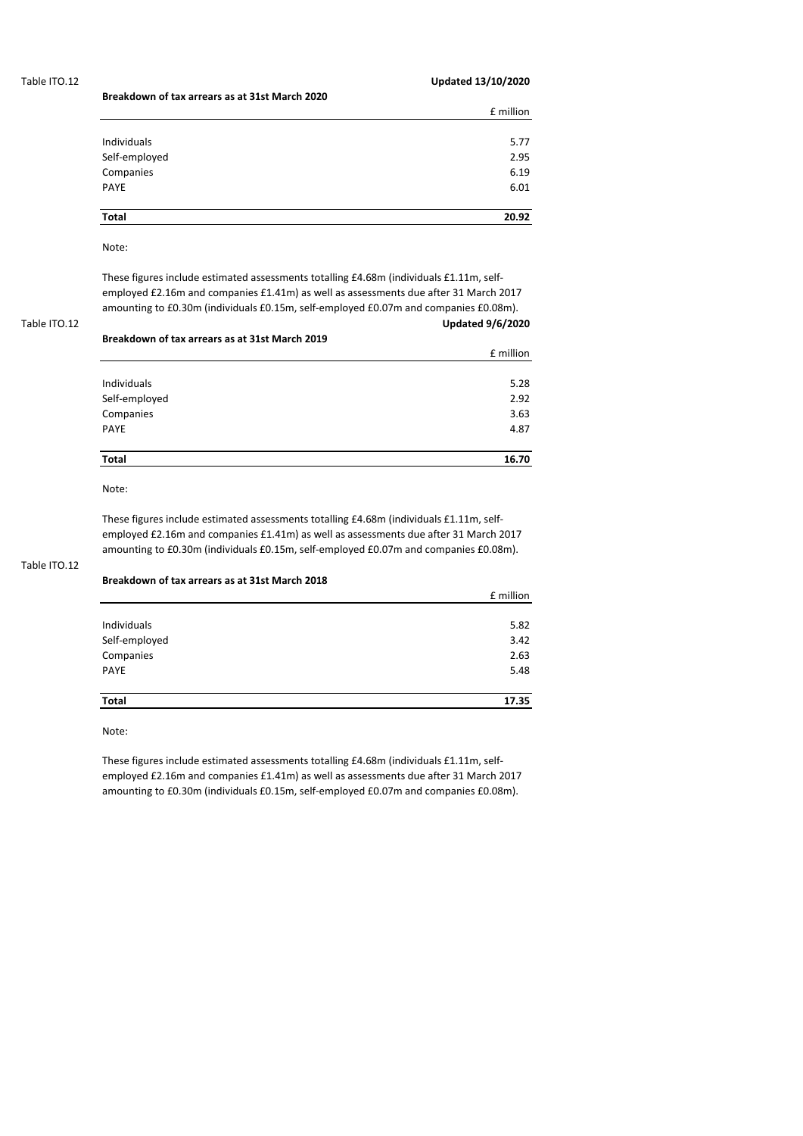## Table ITO.12 **Updated 13/10/2020**

|               | £ million |
|---------------|-----------|
|               |           |
| Individuals   | 5.77      |
| Self-employed | 2.95      |
| Companies     | 6.19      |
| PAYE          | 6.01      |
|               |           |
| Total         | 20.92     |

# Note:

These figures include estimated assessments totalling £4.68m (individuals £1.11m, selfemployed £2.16m and companies £1.41m) as well as assessments due after 31 March 2017 amounting to £0.30m (individuals £0.15m, self-employed £0.07m and companies £0.08m).

Table ITO.12 **Updated 9/6/2020**

| Breakdown of tax arrears as at 31st March 2019 |           |  |
|------------------------------------------------|-----------|--|
|                                                | £ million |  |
| <b>Individuals</b>                             | 5.28      |  |
| Self-employed                                  | 2.92      |  |
| Companies                                      | 3.63      |  |
| <b>PAYE</b>                                    | 4.87      |  |
| <b>Total</b>                                   | 16.70     |  |

Note:

These figures include estimated assessments totalling £4.68m (individuals £1.11m, selfemployed £2.16m and companies £1.41m) as well as assessments due after 31 March 2017 amounting to £0.30m (individuals £0.15m, self-employed £0.07m and companies £0.08m).

# Table ITO.12

### **Breakdown of tax arrears as at 31st March 2018**

**Breakdown of tax arrears as at 31st March 2020**

|               | £ million |
|---------------|-----------|
|               |           |
| Individuals   | 5.82      |
| Self-employed | 3.42      |
| Companies     | 2.63      |
| PAYE          | 5.48      |
|               |           |
| Total         | 17.35     |

Note:

These figures include estimated assessments totalling £4.68m (individuals £1.11m, selfemployed £2.16m and companies £1.41m) as well as assessments due after 31 March 2017 amounting to £0.30m (individuals £0.15m, self-employed £0.07m and companies £0.08m).